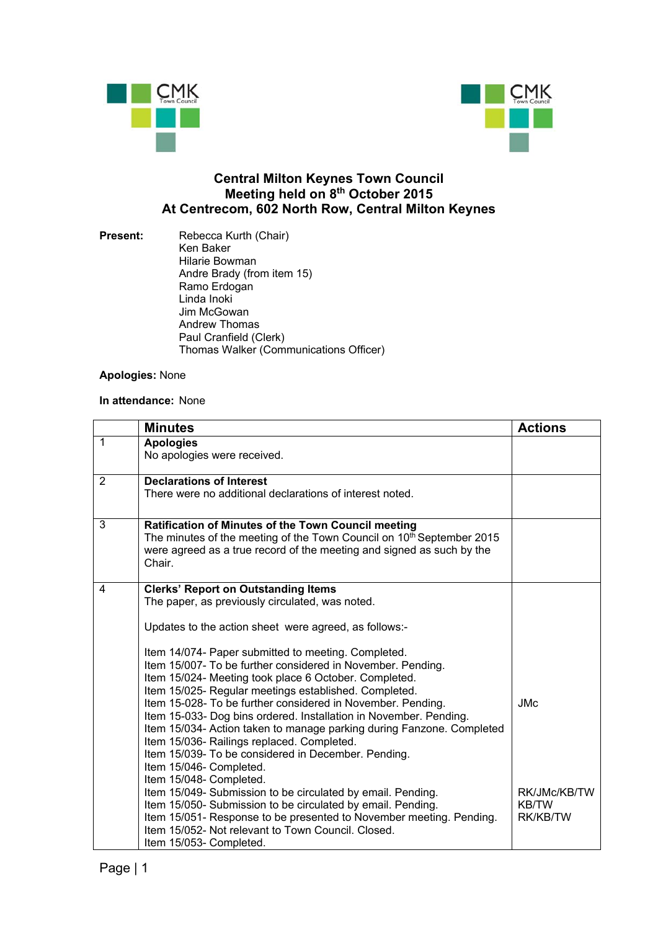



## **Central Milton Keynes Town Council Meeting held on 8th October 2015 At Centrecom, 602 North Row, Central Milton Keynes**

**Present:** Rebecca Kurth (Chair) Ken Baker Hilarie Bowman Andre Brady (from item 15) Ramo Erdogan Linda Inoki Jim McGowan Andrew Thomas Paul Cranfield (Clerk) Thomas Walker (Communications Officer)

## **Apologies:** None

## **In attendance:** None

|                | <b>Minutes</b>                                                                                                                                                                                                                                                                                                                                                                                                                                                                                                                                                                                                                                                                                                                              | <b>Actions</b>                           |
|----------------|---------------------------------------------------------------------------------------------------------------------------------------------------------------------------------------------------------------------------------------------------------------------------------------------------------------------------------------------------------------------------------------------------------------------------------------------------------------------------------------------------------------------------------------------------------------------------------------------------------------------------------------------------------------------------------------------------------------------------------------------|------------------------------------------|
| $\mathbf{1}$   | <b>Apologies</b><br>No apologies were received.                                                                                                                                                                                                                                                                                                                                                                                                                                                                                                                                                                                                                                                                                             |                                          |
| $\overline{2}$ | <b>Declarations of Interest</b><br>There were no additional declarations of interest noted.                                                                                                                                                                                                                                                                                                                                                                                                                                                                                                                                                                                                                                                 |                                          |
| 3              | Ratification of Minutes of the Town Council meeting<br>The minutes of the meeting of the Town Council on 10 <sup>th</sup> September 2015<br>were agreed as a true record of the meeting and signed as such by the<br>Chair.                                                                                                                                                                                                                                                                                                                                                                                                                                                                                                                 |                                          |
| 4              | <b>Clerks' Report on Outstanding Items</b><br>The paper, as previously circulated, was noted.<br>Updates to the action sheet were agreed, as follows:-<br>Item 14/074- Paper submitted to meeting. Completed.<br>Item 15/007- To be further considered in November. Pending.<br>Item 15/024- Meeting took place 6 October. Completed.<br>Item 15/025- Regular meetings established. Completed.<br>Item 15-028- To be further considered in November. Pending.<br>Item 15-033- Dog bins ordered. Installation in November. Pending.<br>Item 15/034- Action taken to manage parking during Fanzone. Completed<br>Item 15/036- Railings replaced. Completed.<br>Item 15/039- To be considered in December. Pending.<br>Item 15/046- Completed. | <b>JMc</b>                               |
|                | Item 15/048- Completed.<br>Item 15/049- Submission to be circulated by email. Pending.<br>Item 15/050- Submission to be circulated by email. Pending.<br>Item 15/051- Response to be presented to November meeting. Pending.<br>Item 15/052- Not relevant to Town Council, Closed.<br>Item 15/053- Completed.                                                                                                                                                                                                                                                                                                                                                                                                                               | RK/JMc/KB/TW<br><b>KB/TW</b><br>RK/KB/TW |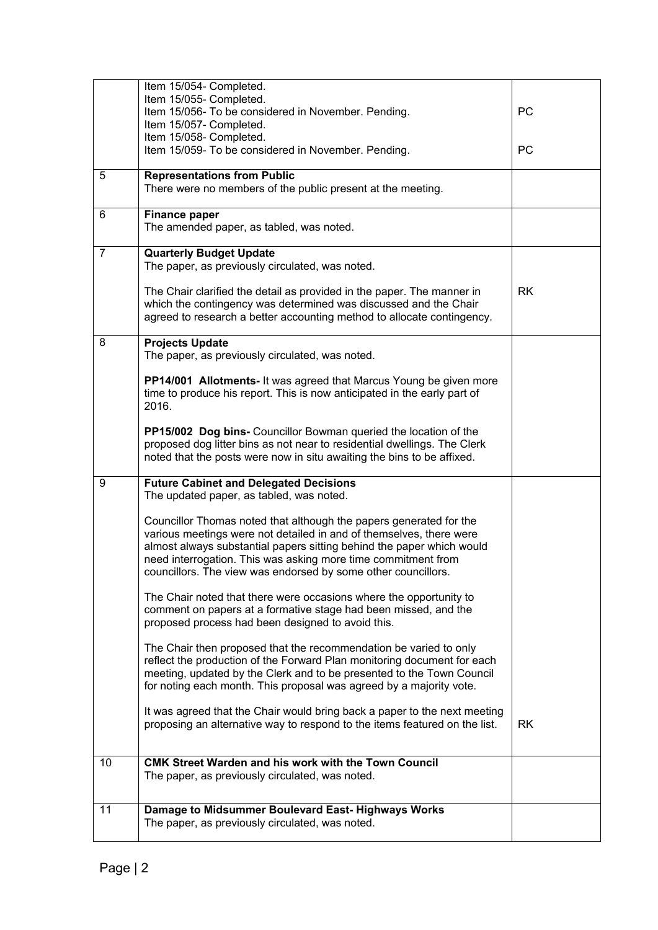|                | Item 15/054- Completed.                                                                                                                          |           |
|----------------|--------------------------------------------------------------------------------------------------------------------------------------------------|-----------|
|                | Item 15/055- Completed.                                                                                                                          |           |
|                | Item 15/056- To be considered in November. Pending.                                                                                              | PC        |
|                | Item 15/057- Completed.                                                                                                                          |           |
|                | Item 15/058- Completed.                                                                                                                          |           |
|                | Item 15/059- To be considered in November. Pending.                                                                                              | <b>PC</b> |
|                |                                                                                                                                                  |           |
| 5              | <b>Representations from Public</b>                                                                                                               |           |
|                | There were no members of the public present at the meeting.                                                                                      |           |
| 6              | <b>Finance paper</b>                                                                                                                             |           |
|                | The amended paper, as tabled, was noted.                                                                                                         |           |
|                |                                                                                                                                                  |           |
| $\overline{7}$ | <b>Quarterly Budget Update</b>                                                                                                                   |           |
|                | The paper, as previously circulated, was noted.                                                                                                  |           |
|                |                                                                                                                                                  |           |
|                | The Chair clarified the detail as provided in the paper. The manner in                                                                           | <b>RK</b> |
|                | which the contingency was determined was discussed and the Chair                                                                                 |           |
|                | agreed to research a better accounting method to allocate contingency.                                                                           |           |
|                |                                                                                                                                                  |           |
| 8              | <b>Projects Update</b>                                                                                                                           |           |
|                | The paper, as previously circulated, was noted.                                                                                                  |           |
|                |                                                                                                                                                  |           |
|                | PP14/001 Allotments- It was agreed that Marcus Young be given more                                                                               |           |
|                | time to produce his report. This is now anticipated in the early part of                                                                         |           |
|                | 2016.                                                                                                                                            |           |
|                | PP15/002 Dog bins- Councillor Bowman queried the location of the                                                                                 |           |
|                | proposed dog litter bins as not near to residential dwellings. The Clerk                                                                         |           |
|                | noted that the posts were now in situ awaiting the bins to be affixed.                                                                           |           |
|                |                                                                                                                                                  |           |
| 9              | <b>Future Cabinet and Delegated Decisions</b>                                                                                                    |           |
|                | The updated paper, as tabled, was noted.                                                                                                         |           |
|                |                                                                                                                                                  |           |
|                | Councillor Thomas noted that although the papers generated for the                                                                               |           |
|                | various meetings were not detailed in and of themselves, there were                                                                              |           |
|                | almost always substantial papers sitting behind the paper which would                                                                            |           |
|                | need interrogation. This was asking more time commitment from                                                                                    |           |
|                | councillors. The view was endorsed by some other councillors.                                                                                    |           |
|                |                                                                                                                                                  |           |
|                | The Chair noted that there were occasions where the opportunity to                                                                               |           |
|                | comment on papers at a formative stage had been missed, and the                                                                                  |           |
|                | proposed process had been designed to avoid this.                                                                                                |           |
|                |                                                                                                                                                  |           |
|                | The Chair then proposed that the recommendation be varied to only                                                                                |           |
|                | reflect the production of the Forward Plan monitoring document for each<br>meeting, updated by the Clerk and to be presented to the Town Council |           |
|                | for noting each month. This proposal was agreed by a majority vote.                                                                              |           |
|                |                                                                                                                                                  |           |
|                | It was agreed that the Chair would bring back a paper to the next meeting                                                                        |           |
|                | proposing an alternative way to respond to the items featured on the list.                                                                       | <b>RK</b> |
|                |                                                                                                                                                  |           |
|                |                                                                                                                                                  |           |
|                |                                                                                                                                                  |           |
| 10             | CMK Street Warden and his work with the Town Council                                                                                             |           |
|                | The paper, as previously circulated, was noted.                                                                                                  |           |
|                |                                                                                                                                                  |           |
|                |                                                                                                                                                  |           |
| 11             | Damage to Midsummer Boulevard East- Highways Works                                                                                               |           |
|                | The paper, as previously circulated, was noted.                                                                                                  |           |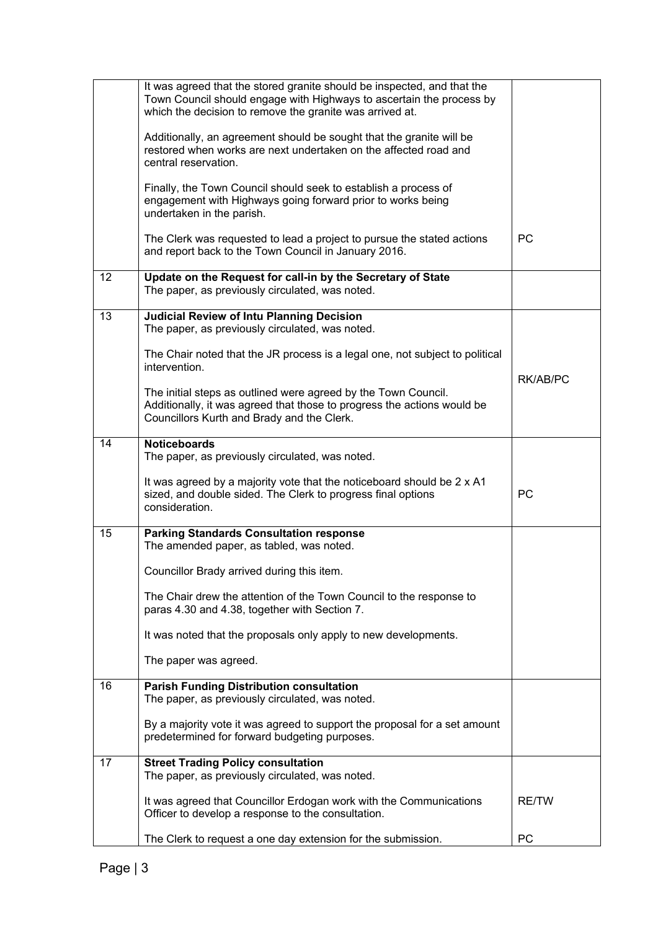|    | It was agreed that the stored granite should be inspected, and that the<br>Town Council should engage with Highways to ascertain the process by<br>which the decision to remove the granite was arrived at. |              |
|----|-------------------------------------------------------------------------------------------------------------------------------------------------------------------------------------------------------------|--------------|
|    | Additionally, an agreement should be sought that the granite will be<br>restored when works are next undertaken on the affected road and<br>central reservation.                                            |              |
|    | Finally, the Town Council should seek to establish a process of<br>engagement with Highways going forward prior to works being<br>undertaken in the parish.                                                 |              |
|    | The Clerk was requested to lead a project to pursue the stated actions<br>and report back to the Town Council in January 2016.                                                                              | <b>PC</b>    |
| 12 | Update on the Request for call-in by the Secretary of State<br>The paper, as previously circulated, was noted.                                                                                              |              |
| 13 | <b>Judicial Review of Intu Planning Decision</b><br>The paper, as previously circulated, was noted.                                                                                                         |              |
|    | The Chair noted that the JR process is a legal one, not subject to political<br>intervention.                                                                                                               |              |
|    | The initial steps as outlined were agreed by the Town Council.<br>Additionally, it was agreed that those to progress the actions would be<br>Councillors Kurth and Brady and the Clerk.                     | RK/AB/PC     |
| 14 | <b>Noticeboards</b><br>The paper, as previously circulated, was noted.                                                                                                                                      |              |
|    | It was agreed by a majority vote that the noticeboard should be 2 x A1<br>sized, and double sided. The Clerk to progress final options<br>consideration.                                                    | PC           |
| 15 | <b>Parking Standards Consultation response</b><br>The amended paper, as tabled, was noted.                                                                                                                  |              |
|    | Councillor Brady arrived during this item                                                                                                                                                                   |              |
|    | The Chair drew the attention of the Town Council to the response to<br>paras 4.30 and 4.38, together with Section 7.                                                                                        |              |
|    | It was noted that the proposals only apply to new developments.                                                                                                                                             |              |
|    | The paper was agreed.                                                                                                                                                                                       |              |
| 16 | <b>Parish Funding Distribution consultation</b><br>The paper, as previously circulated, was noted.                                                                                                          |              |
|    | By a majority vote it was agreed to support the proposal for a set amount<br>predetermined for forward budgeting purposes.                                                                                  |              |
| 17 | <b>Street Trading Policy consultation</b><br>The paper, as previously circulated, was noted.                                                                                                                |              |
|    | It was agreed that Councillor Erdogan work with the Communications<br>Officer to develop a response to the consultation.                                                                                    | <b>RE/TW</b> |
|    | The Clerk to request a one day extension for the submission.                                                                                                                                                | PC           |